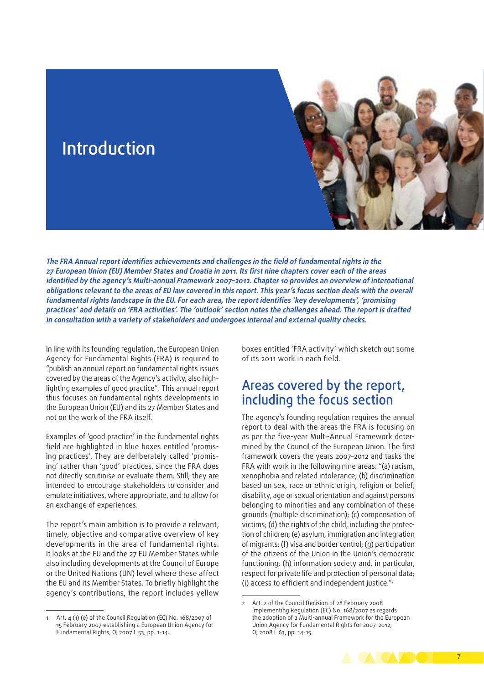

**The FRA Annual report identifies achievements and challenges in the field of fundamental rights in the 27 European Union (EU) Member States and Croatia in 2011. Its first nine chapters cover each of the areas identified by the agency's Multi‑annual Framework 2007–2012. Chapter 10 provides an overview of international obligations relevant to the areas of EU law covered in this report. This year's focus section deals with the overall fundamental rights landscape in the EU. For each area, the report identifies 'key developments', 'promising practices' and details on 'FRA activities'. The 'outlook' section notes the challenges ahead. The report is drafted in consultation with a variety of stakeholders and undergoes internal and external quality checks.**

In line with its founding regulation, the European Union Agency for Fundamental Rights (FRA) is required to "publish an annual report on fundamental rights issues covered by the areas of the Agency's activity, also highlighting examples of good practice".1 This annual report thus focuses on fundamental rights developments in the European Union (EU) and its 27 Member States and not on the work of the FRA itself.

Examples of 'good practice' in the fundamental rights field are highlighted in blue boxes entitled 'promising practices'. They are deliberately called 'promising' rather than 'good' practices, since the FRA does not directly scrutinise or evaluate them. Still, they are intended to encourage stakeholders to consider and emulate initiatives, where appropriate, and to allow for an exchange of experiences.

The report's main ambition is to provide a relevant, timely, objective and comparative overview of key developments in the area of fundamental rights. It looks at the EU and the 27 EU Member States while also including developments at the Council of Europe or the United Nations (UN) level where these affect the EU and its Member States. To briefly highlight the agency's contributions, the report includes yellow

Art. 4 (1) (e) of the Council Regulation (EC) No. 168/2007 of 15 February 2007 establishing a European Union Agency for Fundamental Rights, OJ 2007 L 53, pp. 1-14.

boxes entitled 'FRA activity' which sketch out some of its 2011 work in each field.

## Areas covered by the report, including the focus section

The agency's founding regulation requires the annual report to deal with the areas the FRA is focusing on as per the five-year Multi-Annual Framework determined by the Council of the European Union. The first framework covers the years 2007–2012 and tasks the FRA with work in the following nine areas: "(a) racism, xenophobia and related intolerance; (b) discrimination based on sex, race or ethnic origin, religion or belief, disability, age or sexual orientation and against persons belonging to minorities and any combination of these grounds (multiple discrimination); (c) compensation of victims; (d) the rights of the child, including the protection of children; (e) asylum, immigration and integration of migrants; (f) visa and border control; (g) participation of the citizens of the Union in the Union's democratic functioning; (h) information society and, in particular, respect for private life and protection of personal data; (i) access to efficient and independent justice."2

<sup>2</sup> Art. 2 of the Council Decision of 28 February 2008 implementing Regulation (EC) No. 168/2007 as regards the adoption of a Multi-annual Framework for the European Union Agency for Fundamental Rights for 2007–2012, OJ 2008 L 63, pp. 14-15.

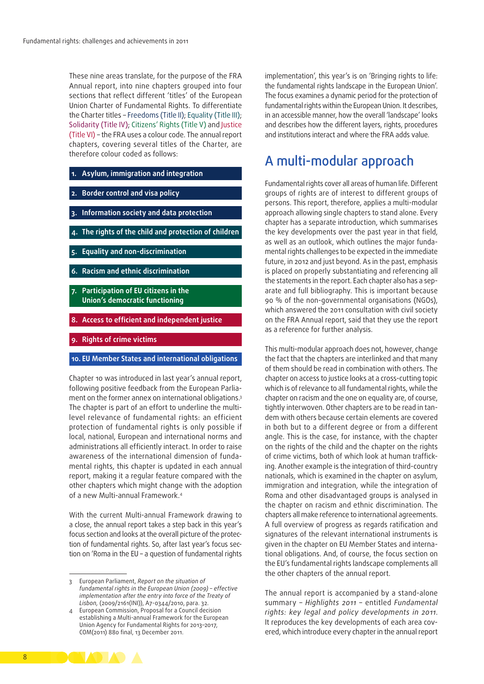These nine areas translate, for the purpose of the FRA Annual report, into nine chapters grouped into four sections that reflect different 'titles' of the European Union Charter of Fundamental Rights. To differentiate the Charter titles – Freedoms (Title II); Equality (Title III); Solidarity (Title IV); Citizens' Rights (Title V) and Justice (Title VI) – the FRA uses a colour code. The annual report chapters, covering several titles of the Charter, are therefore colour coded as follows:

- **1. Asylum, immigration and integration**
- **2. Border control and visa policy**
- **3. Information society and data protection**
- **4. The rights of the child and protection of children**
- **5. Equality and non‑discrimination**
- **6. Racism and ethnic discrimination**
- **7. Participation of EU citizens in the Union's democratic functioning**
- **8. Access to efficient and independent justice**
- **9. Rights of crime victims**

## **10. EU Member States and international obligations**

Chapter 10 was introduced in last year's annual report, following positive feedback from the European Parliament on the former annex on international obligations.3 The chapter is part of an effort to underline the multilevel relevance of fundamental rights: an efficient protection of fundamental rights is only possible if local, national, European and international norms and administrations all efficiently interact. In order to raise awareness of the international dimension of fundamental rights, this chapter is updated in each annual report, making it a regular feature compared with the other chapters which might change with the adoption of a new Multi-annual Framework.4

With the current Multi-annual Framework drawing to a close, the annual report takes a step back in this year's focus section and looks at the overall picture of the protection of fundamental rights. So, after last year's focus sec‑ tion on 'Roma in the EU – a question of fundamental rights implementation', this year's is on 'Bringing rights to life: the fundamental rights landscape in the European Union'. The focus examines a dynamic period for the protection of fundamental rights within the European Union. It describes, in an accessible manner, how the overall 'landscape' looks and describes how the different layers, rights, procedures and institutions interact and where the FRA adds value.

## A multi‑modular approach

Fundamental rights cover all areas of human life. Different groups of rights are of interest to different groups of persons. This report, therefore, applies a multi‑modular approach allowing single chapters to stand alone. Every chapter has a separate introduction, which summarises the key developments over the past year in that field, as well as an outlook, which outlines the major fundamental rights challenges to be expected in the immediate future, in 2012 and just beyond. As in the past, emphasis is placed on properly substantiating and referencing all the statements in the report. Each chapter also has a separate and full bibliography. This is important because 90 % of the non‑governmental organisations (NGOs), which answered the 2011 consultation with civil society on the FRA Annual report, said that they use the report as a reference for further analysis.

This multi-modular approach does not, however, change the fact that the chapters are interlinked and that many of them should be read in combination with others. The chapter on access to justice looks at a cross‑cutting topic which is of relevance to all fundamental rights, while the chapter on racism and the one on equality are, of course, tightly interwoven. Other chapters are to be read in tandem with others because certain elements are covered in both but to a different degree or from a different angle. This is the case, for instance, with the chapter on the rights of the child and the chapter on the rights of crime victims, both of which look at human trafficking. Another example is the integration of third-country nationals, which is examined in the chapter on asylum, immigration and integration, while the integration of Roma and other disadvantaged groups is analysed in the chapter on racism and ethnic discrimination. The chapters all make reference to international agreements. A full overview of progress as regards ratification and signatures of the relevant international instruments is given in the chapter on EU Member States and international obligations. And, of course, the focus section on the EU's fundamental rights landscape complements all the other chapters of the annual report.

The annual report is accompanied by a stand-alone summary – *Highlights 2011* – entitled *Fundamental rights: key legal and policy developments in 2011*. It reproduces the key developments of each area covered, which introduce every chapter in the annual report



<sup>3</sup> European Parliament, *Report on the situation of fundamental rights in the European Union (2009) – effective implementation after the entry into force of the Treaty of Lisbon,* (2009/2161(INI)), A7-0344/2010, para. 32.

European Commission, Proposal for a Council decision establishing a Multi-annual Framework for the European Union Agency for Fundamental Rights for 2013–2017, COM(2011) 880 final, 13 December 2011.